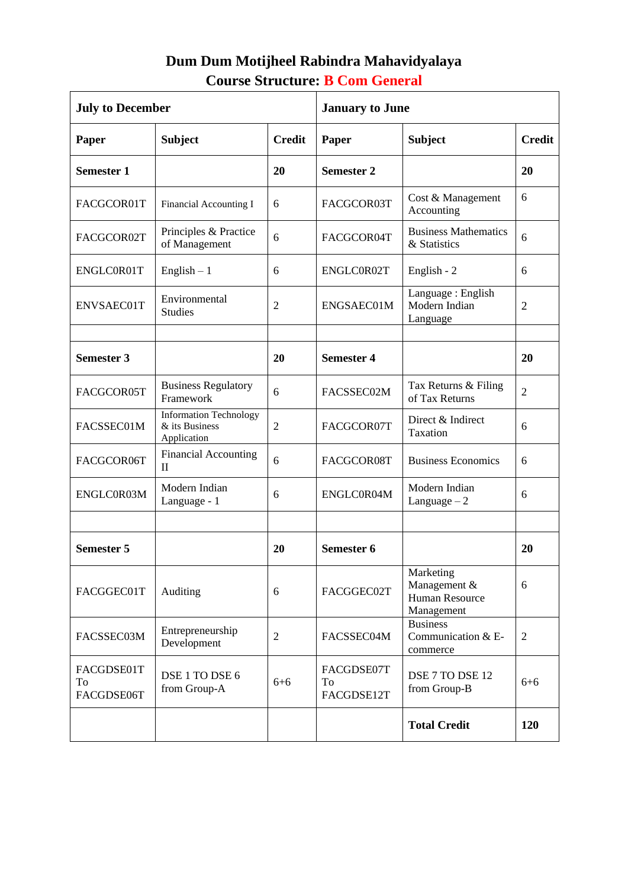## **Dum Dum Motijheel Rabindra Mahavidyalaya Course Structure: B Com General**

| <b>July to December</b>        |                                                                |                | <b>January to June</b>         |                                                           |                |
|--------------------------------|----------------------------------------------------------------|----------------|--------------------------------|-----------------------------------------------------------|----------------|
| Paper                          | <b>Subject</b>                                                 | <b>Credit</b>  | <b>Paper</b>                   | <b>Subject</b>                                            | <b>Credit</b>  |
| <b>Semester 1</b>              |                                                                | 20             | <b>Semester 2</b>              |                                                           | 20             |
| FACGCOR01T                     | Financial Accounting I                                         | 6              | FACGCOR03T                     | Cost & Management<br>Accounting                           | 6              |
| FACGCOR02T                     | Principles & Practice<br>of Management                         | 6              | FACGCOR04T                     | <b>Business Mathematics</b><br>& Statistics               | 6              |
| ENGLC0R01T                     | English $-1$                                                   | 6              | ENGLC0R02T                     | English - 2                                               | 6              |
| ENVSAEC01T                     | Environmental<br><b>Studies</b>                                | 2              | ENGSAEC01M                     | Language: English<br>Modern Indian<br>Language            | $\overline{2}$ |
|                                |                                                                |                |                                |                                                           |                |
| <b>Semester 3</b>              |                                                                | 20             | <b>Semester 4</b>              |                                                           | 20             |
| FACGCOR05T                     | <b>Business Regulatory</b><br>Framework                        | 6              | FACSSEC02M                     | Tax Returns & Filing<br>of Tax Returns                    | $\overline{2}$ |
| FACSSEC01M                     | <b>Information Technology</b><br>& its Business<br>Application | 2              | FACGCOR07T                     | Direct & Indirect<br>Taxation                             | 6              |
| FACGCOR06T                     | <b>Financial Accounting</b><br>$\mathbf{I}$                    | 6              | FACGCOR08T                     | <b>Business Economics</b>                                 | 6              |
| ENGLC0R03M                     | Modern Indian<br>Language - 1                                  | 6              | ENGLC0R04M                     | Modern Indian<br>Language $-2$                            | 6              |
|                                |                                                                |                |                                |                                                           |                |
| <b>Semester 5</b>              |                                                                | 20             | Semester 6                     |                                                           | 20             |
| FACGGEC01T                     | Auditing                                                       | 6              | FACGGEC02T                     | Marketing<br>Management &<br>Human Resource<br>Management | 6              |
| FACSSEC03M                     | Entrepreneurship<br>Development                                | $\mathfrak{2}$ | FACSSEC04M                     | <b>Business</b><br>Communication & E-<br>commerce         | $\overline{2}$ |
| FACGDSE01T<br>To<br>FACGDSE06T | DSE 1 TO DSE 6<br>from Group-A                                 | $6 + 6$        | FACGDSE07T<br>To<br>FACGDSE12T | DSE 7 TO DSE 12<br>from Group-B                           | $6 + 6$        |
|                                |                                                                |                |                                | <b>Total Credit</b>                                       | 120            |